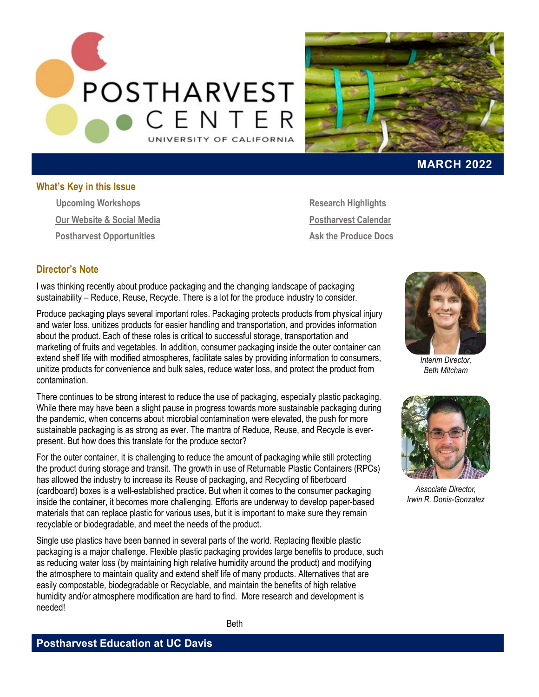



## **MARCH 2022**

#### **What's Key in this Issue**

<span id="page-0-1"></span>**[Upcoming Workshops](#page-0-0) Our Website & Social Media Postharvest Opportunities**

**Research Highlights [Postharvest Calendar](#page-3-0) Ask the Produce Docs**

#### **Director's Note**

I was thinking recently about produce packaging and the changing landscape of packaging sustainability – Reduce, Reuse, Recycle. There is a lot for the produce industry to consider.

Produce packaging plays several important roles. Packaging protects products from physical injury and water loss, unitizes products for easier handling and transportation, and provides information about the product. Each of these roles is critical to successful storage, transportation and marketing of fruits and vegetables. In addition, consumer packaging inside the outer container can extend shelf life with modified atmospheres, facilitate sales by providing information to consumers, unitize products for convenience and bulk sales, reduce water loss, and protect the product from contamination.

There continues to be strong interest to reduce the use of packaging, especially plastic packaging. While there may have been a slight pause in progress towards more sustainable packaging during the pandemic, when concerns about microbial contamination were elevated, the push for more sustainable packaging is as strong as ever. The mantra of Reduce, Reuse, and Recycle is everpresent. But how does this translate for the produce sector?

For the outer container, it is challenging to reduce the amount of packaging while still protecting the product during storage and transit. The growth in use of Returnable Plastic Containers (RPCs) has allowed the industry to increase its Reuse of packaging, and Recycling of fiberboard (cardboard) boxes is a well-established practice. But when it comes to the consumer packaging inside the container, it becomes more challenging. Efforts are underway to develop paper-based materials that can replace plastic for various uses, but it is important to make sure they remain recyclable or biodegradable, and meet the needs of the product.

<span id="page-0-0"></span>Single use plastics have been banned in several parts of the world. Replacing flexible plastic packaging is a major challenge. Flexible plastic packaging provides large benefits to produce, such as reducing water loss (by maintaining high relative humidity around the product) and modifying the atmosphere to maintain quality and extend shelf life of many products. Alternatives that are easily compostable, biodegradable or Recyclable, and maintain the benefits of high relative humidity and/or atmosphere modification are hard to find. More research and development is needed!



*Interim Director, Beth Mitcham*



*Associate Director, Irwin R. Donis-Gonzalez*

Beth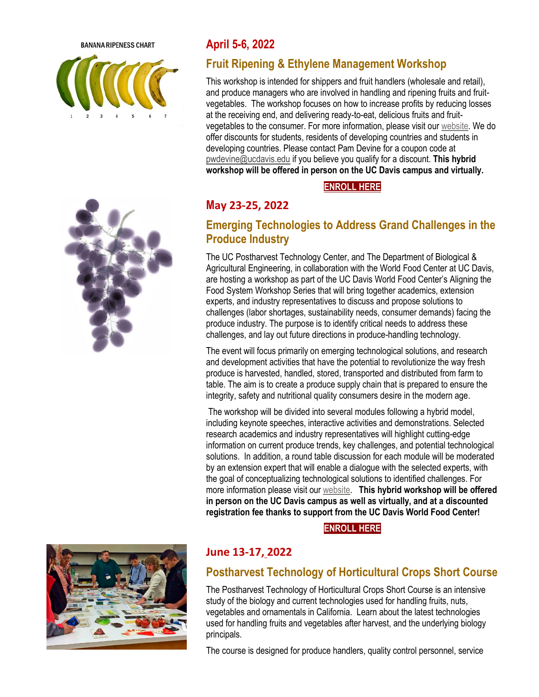**BANANA RIPENESS CHART** 





# **April 5-6, 2022**

# **Fruit Ripening & Ethylene Management Workshop**

This workshop is intended for shippers and fruit handlers (wholesale and retail), and produce managers who are involved in handling and ripening fruits and fruitvegetables. The workshop focuses on how to increase profits by reducing losses at the receiving end, and delivering ready-to-eat, delicious fruits and fruitvegetables to the consumer. For more information, please visit ou[r website.](https://postharvest.ucdavis.edu/Workshops/Fruit_Ripening_-_Ethylene_Management_342/) We do offer discounts for students, residents of developing countries and students in developing countries. Please contact Pam Devine for a coupon code at [pwdevine@ucdavis.edu](mailto:pwdevine@ucdavis.edu) if you believe you qualify for a discount. **This hybrid workshop will be offered in person on the UC Davis campus and virtually.**

## **[ENROLL HERE](https://registration.ucdavis.edu/Item/Details/776)**

# **M[ay](https://registration.ucdavis.edu/Item/Details/750) 23-25, 2022**

# **Emerging Technologies to Address Grand Challenges in the Produce Industry**

The UC Postharvest Technology Center, and The Department of Biological & Agricultural Engineering, in collaboration with the World Food Center at UC Davis, are hosting a workshop as part of the UC Davis World Food Center's Aligning the Food System Workshop Series that will bring together academics, extension experts, and industry representatives to discuss and propose solutions to challenges (labor shortages, sustainability needs, consumer demands) facing the produce industry. The purpose is to identify critical needs to address these challenges, and lay out future directions in produce-handling technology.

The event will focus primarily on emerging technological solutions, and research and development activities that have the potential to revolutionize the way fresh produce is harvested, handled, stored, transported and distributed from farm to table. The aim is to create a produce supply chain that is prepared to ensure the integrity, safety and nutritional quality consumers desire in the modern age.

The workshop will be divided into several modules following a hybrid model, including keynote speeches, interactive activities and demonstrations. Selected research academics and industry representatives will highlight cutting-edge information on current produce trends, key challenges, and potential technological solutions. In addition, a round table discussion for each module will be moderated by an extension expert that will enable a dialogue with the selected experts, with the goal of conceptualizing technological solutions to identified challenges. For more information please visit our [website.](https://postharvest.ucdavis.edu/Workshops/Emerging_technologies_addressing_grand_challenges_in_the_produce_industry/) **This hybrid workshop will be offered in person on the UC Davis campus as well as virtually, and at a discounted registration fee thanks to support from the UC Davis World Food Center!**

### **[ENROLL HERE](https://registration.ucdavis.edu/Item/Details/750)**



## **June 13-17, 2022**

## **Postharvest Technology of Horticultural Crops Short Course**

The Postharvest Technology of Horticultural Crops Short Course is an intensive study of the biology and current technologies used for handling fruits, nuts, vegetables and ornamentals in California. Learn about the latest technologies used for handling fruits and vegetables after harvest, and the underlying biology principals.

The course is designed for produce handlers, quality control personnel, service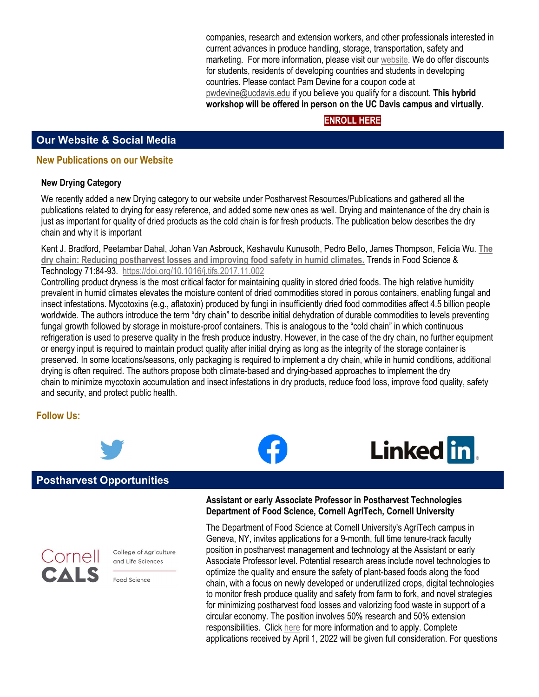companies, research and extension workers, and other professionals interested in current advances in produce handling, storage, transportation, safety and marketing. For more information, please visit ou[r website.](https://postharvest.ucdavis.edu/Workshops/Postharvest_Technology_of_Horticultural_Crops_Short_Course/) We do offer discounts for students, residents of developing countries and students in developing countries. Please contact Pam Devine for a coupon code at [pwdevine@ucdavis.edu](mailto:pwdevine@ucdavis.edu) if you believe you qualify for a discount. **This hybrid workshop will be offered in person on the UC Davis campus and virtually.**

## **[ENROLL HERE](https://registration.ucdavis.edu/Item/Details/800)**

## **Our Website [& Social Media](#page-0-1)**

#### **New Publications on our Website**

#### **New Drying Category**

We recently added a new Drying category to our website under Postharvest Resources/Publications and gathered all the publications related to drying for easy reference, and added some new ones as well. Drying and maintenance of the dry chain is just as important for quality of dried products as the cold chain is for fresh products. The publication below describes the dry chain and why it is important

Kent J. Bradford, Peetambar Dahal, Johan Van Asbrouck, Keshavulu Kunusoth, Pedro Bello, James Thompson, Felicia Wu. **[The](https://postharvest.ucdavis.edu/Library/Publications/?uid=1812&ds=807)  [dry chain: Reducing postharvest losses and improving food safety in humid climates.](https://postharvest.ucdavis.edu/Library/Publications/?uid=1812&ds=807)** Trends in Food Science & Technology 71:84-93. <https://doi.org/10.1016/j.tifs.2017.11.002>

Controlling product dryness is the most critical factor for maintaining quality in stored dried foods. The high relative humidity prevalent in humid climates elevates the moisture content of dried commodities stored in porous containers, enabling fungal and insect infestations. Mycotoxins (e.g., aflatoxin) produced by fungi in insufficiently dried food commodities affect 4.5 billion people worldwide. The authors introduce the term "dry chain" to describe initial dehydration of durable commodities to levels preventing fungal growth followed by storage in moisture-proof containers. This is analogous to the "cold chain" in which continuous refrigeration is used to preserve quality in the fresh produce industry. However, in the case of the dry chain, no further equipment or energy input is required to maintain product quality after initial drying as long as the integrity of the storage container is preserved. In some locations/seasons, only packaging is required to implement a dry chain, while in humid conditions, additional drying is often required. The authors propose both climate-based and drying-based approaches to implement the dry chain to minimize mycotoxin accumulation and insect infestations in dry products, reduce food loss, improve food quality, safety and security, and protect public health.

### **Follow Us:**



### **Postharvest Opportunities**



College of Agriculture and Life Sciences

Food Science

**Assistant or early Associate Professor in Postharvest Technologies Department of Food Science, Cornell AgriTech, Cornell University** 

The Department of Food Science at Cornell University's AgriTech campus in Geneva, NY, invites applications for a 9-month, full time tenure-track faculty position in postharvest management and technology at the Assistant or early Associate Professor level. Potential research areas include novel technologies to optimize the quality and ensure the safety of plant-based foods along the food chain, with a focus on newly developed or underutilized crops, digital technologies to monitor fresh produce quality and safety from farm to fork, and novel strategies for minimizing postharvest food losses and valorizing food waste in support of a circular economy. The position involves 50% research and 50% extension responsibilities. Click [here](https://academicjobsonline.org/ajo/jobs/21124) for more information and to apply. Complete applications received by April 1, 2022 will be given full consideration. For questions

Linked in.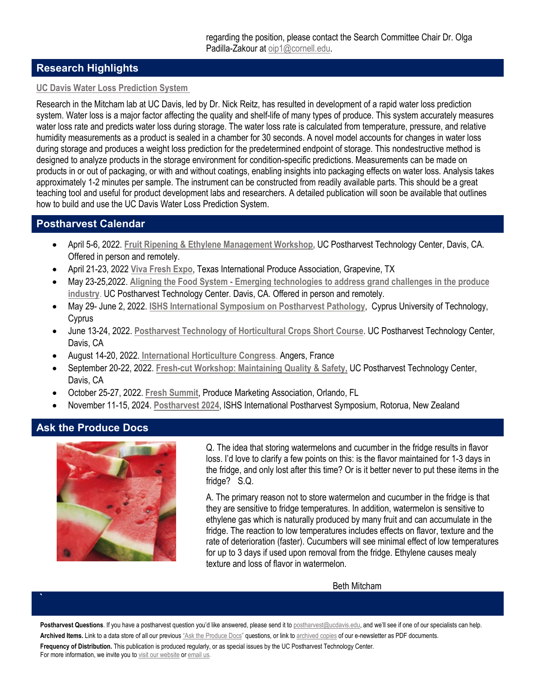## **Research Highlights**

#### **[UC Davis Water Loss Prediction System](https://postharvest.ucdavis.edu/Library/Publications/?uid=1814&ds=807)**

Research in the Mitcham lab at UC Davis, led by Dr. Nick Reitz, has resulted in development of a rapid water loss prediction system. Water loss is a major factor affecting the quality and shelf-life of many types of produce. This system accurately measures water loss rate and predicts water loss during storage. The water loss rate is calculated from temperature, pressure, and relative humidity measurements as a product is sealed in a chamber for 30 seconds. A novel model accounts for changes in water loss during storage and produces a weight loss prediction for the predetermined endpoint of storage. This nondestructive method is designed to analyze products in the storage environment for condition-specific predictions. Measurements can be made on products in or out of packaging, or with and without coatings, enabling insights into packaging effects on water loss. Analysis takes approximately 1-2 minutes per sample. The instrument can be constructed from readily available parts. This should be a great teaching tool and useful for product development labs and researchers. A detailed publication will soon be available that outlines how to build and use the UC Davis Water Loss Prediction System.

#### <span id="page-3-0"></span>**Postharvest Calendar**

- April 5-6, 2022. **[Fruit Ripening & Ethylene Management Workshop,](http://postharvest.ucdavis.edu/Workshops/Fruit_Ripening_-_Ethylene_Management_342/)** UC Postharvest Technology Center, Davis, CA. Offered in person and remotely.
- April 21-23, 2022 **[Viva Fresh Expo](https://vivafreshexpo.com/)**, Texas International Produce Association, Grapevine, TX
- May 23-25,2022. **Aligning the Food System - [Emerging technologies to address grand challenges in the produce](http://postharvest.ucdavis.edu/Workshops/Emerging_technologies_addressing_grand_challenges_in_the_produce_industry/)  [industry](http://postharvest.ucdavis.edu/Workshops/Emerging_technologies_addressing_grand_challenges_in_the_produce_industry/)**. UC Postharvest Technology Center. Davis, CA. Offered in person and remotely.
- May 29- June 2, 2022. **[ISHS International Symposium on Postharvest Pathology](http://web.cut.ac.cy/postharvestpathology2021/)**, Cyprus University of Technology, **Cyprus**
- June 13-24, 2022. **[Postharvest Technology of Horticultural Crops Short Course](http://postharvest.ucdavis.edu/Workshops/Postharvest_Technology_of_Horticultural_Crops_Short_Course/)**. UC Postharvest Technology Center, Davis, CA
- August 14-20, 2022. **[International Horticulture](https://www.ihc2022.org/) Congress**. Angers, France
- September 20-22, 2022. **[Fresh-cut Workshop: Maintaining Quality & Safety,](https://postharvest.ucdavis.edu/Workshops/Fresh-cut_Products_Workshop__Maintaining_Quality_-_Safety/)** UC Postharvest Technology Center, Davis, CA
- October 25-27, 2022. **[Fresh Summit](https://10times.com/produce-marketing-association-fresh-summit)**, Produce Marketing Association, Orlando, FL
- November 11-15, 2024. **[Postharvest 2024](https://www.scienceevents.co.nz/postharvest2024)**, ISHS International Postharvest Symposium, Rotorua, New Zealand

### **Ask the Produce Docs**

**`**



Q. The idea that storing watermelons and cucumber in the fridge results in flavor loss. I'd love to clarify a few points on this: is the flavor maintained for 1-3 days in the fridge, and only lost after this time? Or is it better never to put these items in the fridge? S.Q.

A. The primary reason not to store watermelon and cucumber in the fridge is that they are sensitive to fridge temperatures. In addition, watermelon is sensitive to ethylene gas which is naturally produced by many fruit and can accumulate in the fridge. The reaction to low temperatures includes effects on flavor, texture and the rate of deterioration (faster). Cucumbers will see minimal effect of low temperatures for up to 3 days if used upon removal from the fridge. Ethylene causes mealy texture and loss of flavor in watermelon.

Beth Mitcham

Postharvest Questions. If you have a postharvest question you'd like answered, please send it to **postharvest@ucdavis.edu**, and we'll see if one of our specialists can help. Archived Items. Link to a data store of all our previou[s "Ask the Produce Docs"](http://postharvest.ucdavis.edu/Commodity_Resources/Ask_the_Produce_Docs/) questions, or link t[o archived copies](http://postharvest.ucdavis.edu/E-News/) of our e-newsletter as PDF documents. **Frequency of Distribution.** This publication is produced regularly, or as special issues by the UC Postharvest Technology Center. For more information, we invite you t[o visit our website](http://postharvest.ucdavis.edu/E-News/) o[r email us.](mailto:postharvest@ucdavis.edu)